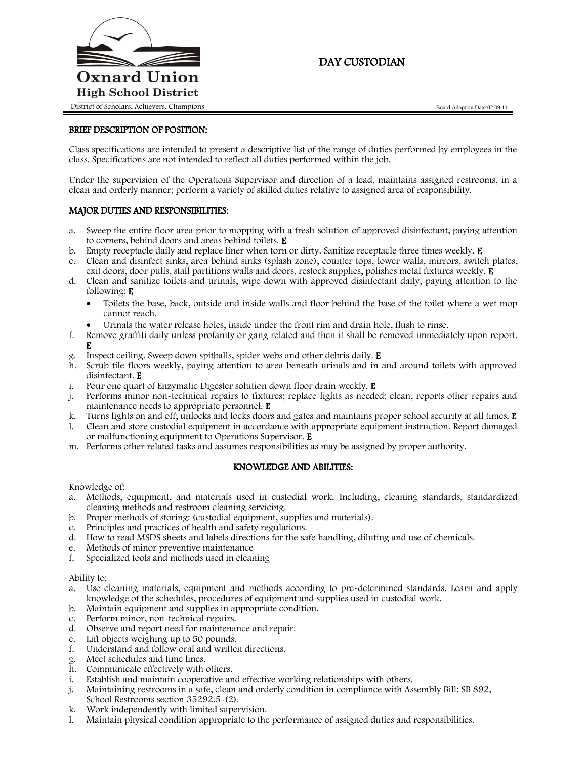

# DAY CUSTODIAN

### BRIEF DESCRIPTION OF POSITION:

Class specifications are intended to present a descriptive list of the range of duties performed by employees in the class. Specifications are not intended to reflect all duties performed within the job.

Under the supervision of the Operations Supervisor and direction of a lead, maintains assigned restrooms, in a clean and orderly manner; perform a variety of skilled duties relative to assigned area of responsibility.

### MAJOR DUTIES AND RESPONSIBILITIES:

- a. Sweep the entire floor area prior to mopping with a fresh solution of approved disinfectant, paying attention to corners, behind doors and areas behind toilets. E
- b. Empty receptacle daily and replace liner when torn or dirty. Sanitize receptacle three times weekly. E
- c. Clean and disinfect sinks, area behind sinks (splash zone), counter tops, lower walls, mirrors, switch plates, exit doors, door pulls, stall partitions walls and doors, restock supplies, polishes metal fixtures weekly. E
- d. Clean and sanitize toilets and urinals, wipe down with approved disinfectant daily, paying attention to the following: E
	- Toilets the base, back, outside and inside walls and floor behind the base of the toilet where a wet mop cannot reach.
	- Urinals the water release holes, inside under the front rim and drain hole, flush to rinse.
- f. Remove graffiti daily unless profanity or gang related and then it shall be removed immediately upon report. E
- g. Inspect ceiling. Sweep down spitballs, spider webs and other debris daily. E
- h. Scrub tile floors weekly, paying attention to area beneath urinals and in and around toilets with approved disinfectant. E
- i. Pour one quart of Enzymatic Digester solution down floor drain weekly. E
- j. Performs minor non-technical repairs to fixtures; replace lights as needed; clean, reports other repairs and maintenance needs to appropriate personnel. E
- k. Turns lights on and off; unlocks and locks doors and gates and maintains proper school security at all times. E
- l. Clean and store custodial equipment in accordance with appropriate equipment instruction. Report damaged or malfunctioning equipment to Operations Supervisor. E
- m. Performs other related tasks and assumes responsibilities as may be assigned by proper authority.

### KNOWLEDGE AND ABILITIES:

Knowledge of:

- a. Methods, equipment, and materials used in custodial work. Including, cleaning standards, standardized cleaning methods and restroom cleaning servicing.
- b. Proper methods of storing: (custodial equipment, supplies and materials).
- c. Principles and practices of health and safety regulations.
- d. How to read MSDS sheets and labels directions for the safe handling, diluting and use of chemicals.
- e. Methods of minor preventive maintenance<br>f. Specialized tools and methods used in clear
- Specialized tools and methods used in cleaning

#### Ability to:

- a. Use cleaning materials, equipment and methods according to pre-determined standards. Learn and apply knowledge of the schedules, procedures of equipment and supplies used in custodial work.
- b. Maintain equipment and supplies in appropriate condition.
- c. Perform minor, non-technical repairs.
- d. Observe and report need for maintenance and repair.
- e. Lift objects weighing up to 50 pounds.
- Understand and follow oral and written directions.
- g. Meet schedules and time lines.
- h. Communicate effectively with others.
- i. Establish and maintain cooperative and effective working relationships with others.
- j. Maintaining restrooms in a safe, clean and orderly condition in compliance with Assembly Bill: SB 892, School Restrooms section 35292.5-(2).
- k. Work independently with limited supervision.
- l. Maintain physical condition appropriate to the performance of assigned duties and responsibilities.